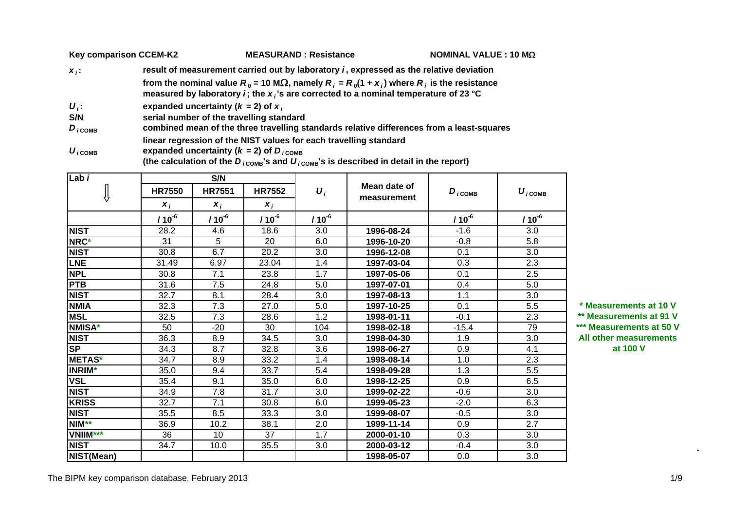|                     | <b>Key comparison CCEM-K2</b> | <b>MEASURAND: Resistance</b>                                                                                                                                                                                    | NOMINAL VALUE : 10 M $\Omega$ |
|---------------------|-------------------------------|-----------------------------------------------------------------------------------------------------------------------------------------------------------------------------------------------------------------|-------------------------------|
| $X_i$ :             |                               | result of measurement carried out by laboratory <i>i</i> , expressed as the relative deviation                                                                                                                  |                               |
|                     |                               | from the nominal value $R_0 = 10 \text{ M}\Omega$ , namely $R_i = R_0(1 + x_i)$ where $R_i$ is the resistance<br>measured by laboratory <i>i</i> ; the $x_i$ 's are corrected to a nominal temperature of 23 °C |                               |
| $U_i$ :             |                               | expanded uncertainty ( $k = 2$ ) of $x_i$                                                                                                                                                                       |                               |
| S/N                 |                               | serial number of the travelling standard                                                                                                                                                                        |                               |
| $D_{i \text{COMB}}$ |                               | combined mean of the three travelling standards relative differences from a least-squares                                                                                                                       |                               |
| $U_{i \text{COMB}}$ |                               | linear regression of the NIST values for each travelling standard<br>expanded uncertainty ( $k = 2$ ) of $D_{iCOMB}$                                                                                            |                               |

(the calculation of the  $D_{i \text{ComB}}$ 's and  $U_{i \text{ComB}}$ 's is described in detail in the report)

| Lab <sub>i</sub> |               | S/N           |               |                    |              |                      |                                    |                |
|------------------|---------------|---------------|---------------|--------------------|--------------|----------------------|------------------------------------|----------------|
| ₩                | <b>HR7550</b> | <b>HR7551</b> | <b>HR7552</b> | $\boldsymbol{U}_i$ | Mean date of | $D_{i \text{ COMB}}$ | $\boldsymbol{U}_{i \texttt{COMB}}$ |                |
|                  | $x_i$         | $x_i$         | $x_i$         |                    | measurement  |                      |                                    |                |
|                  | $110^{-6}$    | $/ 10^{-6}$   | $110^{-6}$    | $/ 10^{-6}$        |              | $/10^{-6}$           | $/ 10^{-6}$                        |                |
| <b>NIST</b>      | 28.2          | 4.6           | 18.6          | 3.0                | 1996-08-24   | $-1.6$               | 3.0                                |                |
| NRC*             | 31            | 5             | 20            | 6.0                | 1996-10-20   | $-0.8$               | 5.8                                |                |
| <b>NIST</b>      | 30.8          | 6.7           | 20.2          | 3.0                | 1996-12-08   | 0.1                  | 3.0                                |                |
| <b>LNE</b>       | 31.49         | 6.97          | 23.04         | 1.4                | 1997-03-04   | 0.3                  | 2.3                                |                |
| <b>NPL</b>       | 30.8          | 7.1           | 23.8          | 1.7                | 1997-05-06   | 0.1                  | 2.5                                |                |
| <b>PTB</b>       | 31.6          | 7.5           | 24.8          | 5.0                | 1997-07-01   | 0.4                  | 5.0                                |                |
| <b>NIST</b>      | 32.7          | 8.1           | 28.4          | 3.0                | 1997-08-13   | 1.1                  | 3.0                                |                |
| <b>NMIA</b>      | 32.3          | 7.3           | 27.0          | 5.0                | 1997-10-25   | 0.1                  | 5.5                                | * Measurement  |
| <b>MSL</b>       | 32.5          | 7.3           | 28.6          | 1.2                | 1998-01-11   | $-0.1$               | 2.3                                | ** Measuremen  |
| <b>NMISA*</b>    | 50            | $-20$         | 30            | 104                | 1998-02-18   | $-15.4$              | 79                                 | *** Measuremer |
| <b>NIST</b>      | 36.3          | 8.9           | 34.5          | 3.0                | 1998-04-30   | 1.9                  | 3.0                                | All other meas |
| <b>SP</b>        | 34.3          | 8.7           | 32.8          | 3.6                | 1998-06-27   | 0.9                  | 4.1                                | at 100         |
| <b>METAS*</b>    | 34.7          | 8.9           | 33.2          | 1.4                | 1998-08-14   | 1.0                  | 2.3                                |                |
| <b>INRIM*</b>    | 35.0          | 9.4           | 33.7          | 5.4                | 1998-09-28   | 1.3                  | 5.5                                |                |
| <b>VSL</b>       | 35.4          | 9.1           | 35.0          | 6.0                | 1998-12-25   | 0.9                  | 6.5                                |                |
| <b>NIST</b>      | 34.9          | 7.8           | 31.7          | 3.0                | 1999-02-22   | $-0.6$               | 3.0                                |                |
| <b>KRISS</b>     | 32.7          | 7.1           | 30.8          | 6.0                | 1999-05-23   | $-2.0$               | 6.3                                |                |
| <b>NIST</b>      | 35.5          | 8.5           | 33.3          | 3.0                | 1999-08-07   | $-0.5$               | 3.0                                |                |
| NIM**            | 36.9          | 10.2          | 38.1          | 2.0                | 1999-11-14   | 0.9                  | 2.7                                |                |
| <b>VNIIM***</b>  | 36            | 10            | 37            | 1.7                | 2000-01-10   | 0.3                  | 3.0                                |                |
| <b>NIST</b>      | 34.7          | 10.0          | 35.5          | 3.0                | 2000-03-12   | $-0.4$               | 3.0                                |                |
| NIST(Mean)       |               |               |               |                    | 1998-05-07   | 0.0                  | 3.0                                |                |

 32.3 7.3 27.0 5.0 **1997-10-25** 0.1 5.5 **\* Measurements at 10 V** \*\* Measurements at 91 V -15.4 79 **\*\*\* Measurements at 50 V All other measurements V**

 $\mathbf{r}$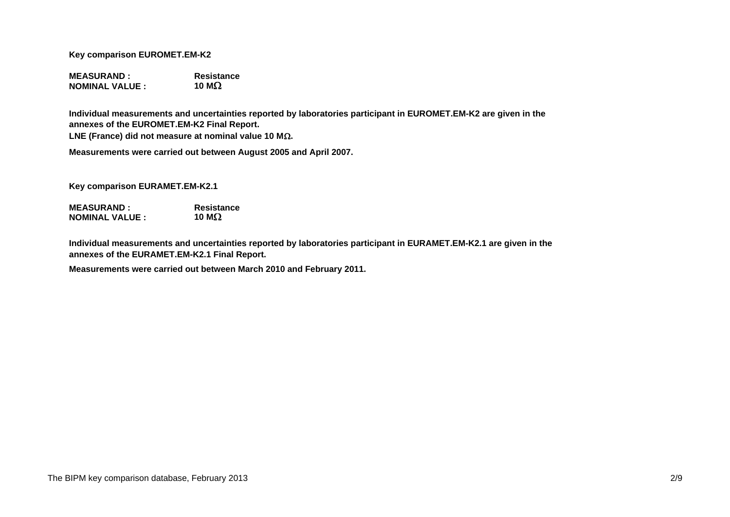**Key comparison EUROMET.EM-K2**

**MEASURAND : ResistanceNOMINAL VALUE :**  $\qquad \qquad$  10 M $\Omega$ 

**Individual measurements and uncertainties reported by laboratories participant in EUROMET.EM-K2 are given in the annexes of the EUROMET.EM-K2 Final Report.**

**LNE (France) did not measure at nominal value 10 M.**

**Measurements were carried out between August 2005 and April 2007.**

**Key comparison EURAMET.EM-K2.1**

**MEASURAND : Resistance NOMINAL VALUE :10 M**

**Individual measurements and uncertainties reported by laboratories participant in EURAMET.EM-K2.1 are given in the annexes of the EURAMET.EM-K2.1 Final Report.**

**Measurements were carried out between March 2010 and February 2011.**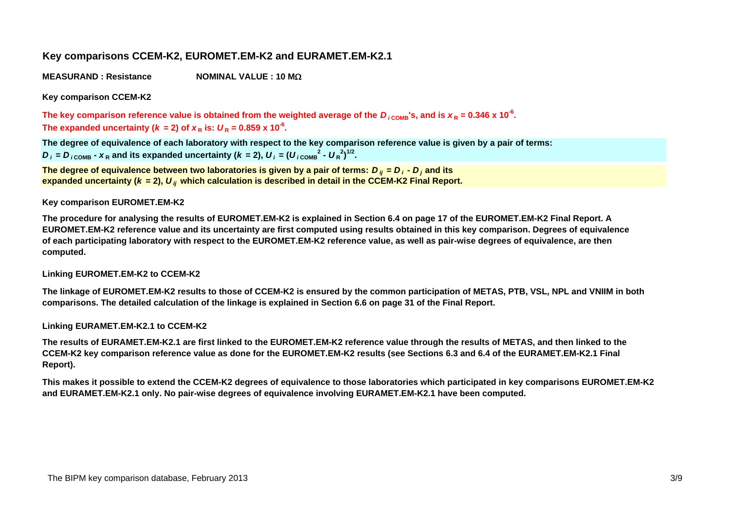# **Key comparisons CCEM-K2, EUROMET.EM-K2 and EURAMET.EM-K2.1**

**MEASURAND : ResistanceNOMINAL VALUE : 10 M**

**Key comparison CCEM-K2**

The key comparison reference value is obtained from the weighted average of the  $D_{i\rm{\,}}$ 's, and is  $x_{\rm{R}}$  = 0.346 x 10<sup>-6</sup>. The expanded uncertainty ( $k = 2$ ) of  $x_R$  is:  $U_R = 0.859$  x 10<sup>-6</sup>.

**The degree of equivalence of each laboratory with respect to the key comparison reference value is given by a pair of terms:**  $D_i$  =  $D_{i \text{COMP}}$  -  $X_R$  and its expanded uncertainty ( $k = 2$ ),  $U_i = (U_{i \text{COMP}}^2 - U_R^2)^{1/2}$ .

**The degree of equivalence between two laboratories is given by a pair of terms:**  *D ij* **<sup>=</sup>** *D i* **-**  *D <sup>j</sup>* **and its** expanded uncertainty (*k =* 2),  $\bm{U}_{ij}$  which calculation is described in detail in the CCEM-K2 Final Report.

### **Key comparison EUROMET.EM-K2**

**The procedure for analysing the results of EUROMET.EM-K2 is explained in Section 6.4 on page 17 of the EUROMET.EM-K2 Final Report. A EUROMET.EM-K2 reference value and its uncertainty are first computed using results obtained in this key comparison. Degrees of equivalence of each participating laboratory with respect to the EUROMET.EM-K2 reference value, as well as pair-wise degrees of equivalence, are then computed.**

### **Linking EUROMET.EM-K2 to CCEM-K2**

**The linkage of EUROMET.EM-K2 results to those of CCEM-K2 is ensured by the common participation of METAS, PTB, VSL, NPL and VNIIM in both comparisons. The detailed calculation of the linkage is explained in Section 6.6 on page 31 of the Final Report.**

**Linking EURAMET.EM-K2.1 to CCEM-K2**

**The results of EURAMET.EM-K2.1 are first linked to the EUROMET.EM-K2 reference value through the results of METAS, and then linked to the CCEM-K2 key comparison reference value as done for the EUROMET.EM-K2 results (see Sections 6.3 and 6.4 of the EURAMET.EM-K2.1 Final Report).**

**This makes it possible to extend the CCEM-K2 degrees of equivalence to those laboratories which participated in key comparisons EUROMET.EM-K2 and EURAMET.EM-K2.1 only. No pair-wise degrees of equivalence involving EURAMET.EM-K2.1 have been computed.**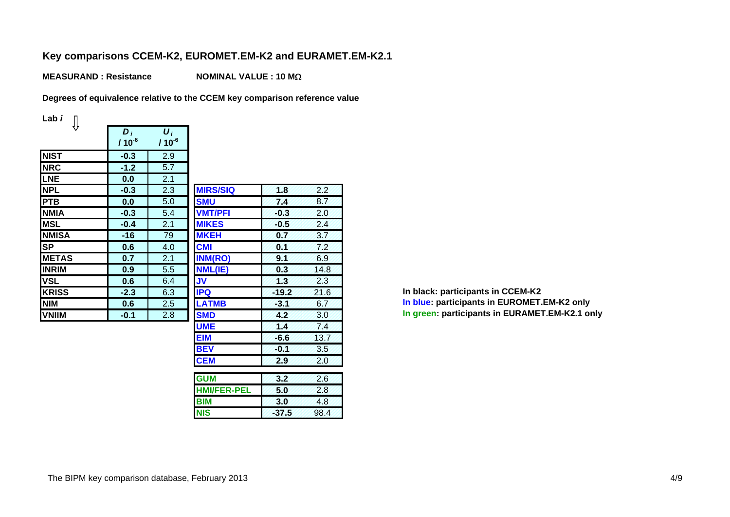# **Key comparisons CCEM-K2, EUROMET.EM-K2 and EURAMET.EM-K2.1**

**MEASURAND : ResistanceNOMINAL VALUE : 10 M**

**Degrees of equivalence relative to the CCEM key comparison reference value**

**Lab** *i*

| ₩            | $D_i$<br>$110^{-6}$ | $\boldsymbol{U}_i$<br>$/ 10^{-6}$ |                 |
|--------------|---------------------|-----------------------------------|-----------------|
| <b>NIST</b>  | $-0.3$              | 2.9                               |                 |
| <b>NRC</b>   | $-1.2$              | 5.7                               |                 |
| LNE          | 0.0                 | 2.1                               |                 |
| <b>NPL</b>   | $-0.3$              | 2.3                               | <b>MIRS/SIQ</b> |
| <b>PTB</b>   | 0.0                 | 5.0                               | <b>SMU</b>      |
| <b>NMIA</b>  | $-0.3$              | 5.4                               | <b>VMT/PFI</b>  |
| <b>MSL</b>   | $-0.4$              | 2.1                               | <b>MIKES</b>    |
| <b>NMISA</b> | -16                 | 79                                | <b>MKEH</b>     |
| <b>SP</b>    | 0.6                 | 4.0                               | <b>CMI</b>      |
| <b>METAS</b> | 0.7                 | 2.1                               | <b>INM(RO)</b>  |
| <b>INRIM</b> | 0.9                 | 5.5                               | NML(IE)         |
| <b>VSL</b>   | 0.6                 | 6.4                               | <b>JV</b>       |
| <b>KRISS</b> | $-2.3$              | 6.3                               | <b>IPQ</b>      |
| <b>NIM</b>   | 0.6                 | 2.5                               | <b>LATMB</b>    |
| <b>VNIIM</b> | $-0.1$              | 2.8                               | <b>SMD</b>      |
|              |                     |                                   | <b>I IMC</b>    |

|                                            | 5.7 |                    |         |      |
|--------------------------------------------|-----|--------------------|---------|------|
| $\frac{.2}{0}$                             | 2.1 |                    |         |      |
| $\frac{3}{10}$ $\frac{1}{4}$ $\frac{4}{6}$ | 2.3 | <b>MIRS/SIQ</b>    | 1.8     | 2.2  |
|                                            | 5.0 | <b>SMU</b>         | 7.4     | 8.7  |
|                                            | 5.4 | <b>VMT/PFI</b>     | $-0.3$  | 2.0  |
|                                            | 2.1 | <b>MIKES</b>       | $-0.5$  | 2.4  |
|                                            | 79  | <b>MKEH</b>        | 0.7     | 3.7  |
| $\overline{\mathbf{6}}$                    | 4.0 | <b>CMI</b>         | 0.1     | 7.2  |
| $\frac{7}{9}$                              | 2.1 | <b>INM(RO)</b>     | 9.1     | 6.9  |
|                                            | 5.5 | NML(IE)            | 0.3     | 14.8 |
|                                            | 6.4 | <b>JV</b>          | 1.3     | 2.3  |
| $\frac{6}{6}$                              | 6.3 | <b>IPQ</b>         | $-19.2$ | 21.6 |
|                                            | 2.5 | <b>LATMB</b>       | $-3.1$  | 6.7  |
| $\overline{1}$                             | 2.8 | <b>SMD</b>         | 4.2     | 3.0  |
|                                            |     | <b>UME</b>         | 1.4     | 7.4  |
|                                            |     | <b>EIM</b>         | $-6.6$  | 13.7 |
|                                            |     | <b>BEV</b>         | $-0.1$  | 3.5  |
|                                            |     | <b>CEM</b>         | 2.9     | 2.0  |
|                                            |     | <b>GUM</b>         | 3.2     | 2.6  |
|                                            |     | <b>HMI/FER-PEL</b> | 5.0     | 2.8  |
|                                            |     | <b>BIM</b>         | 3.0     | 4.8  |
|                                            |     | <b>NIS</b>         | $-37.5$ | 98.4 |
|                                            |     |                    |         |      |

 **-19.2** 21.6 **In black: participants in CCEM-K2 In blue: participants in EUROMET.EM-K2 only 4.2** 3.0 **In green: participants in EURAMET.EM-K2.1 only**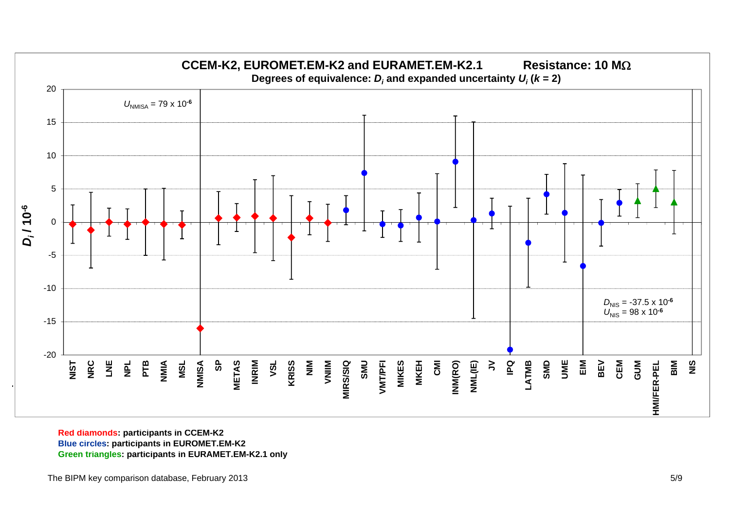

**Red diamonds: participants in CCEM-K2 Blue circles: participants in EUROMET.EM-K2 Green triangles: participants in EURAMET.EM-K2.1 only**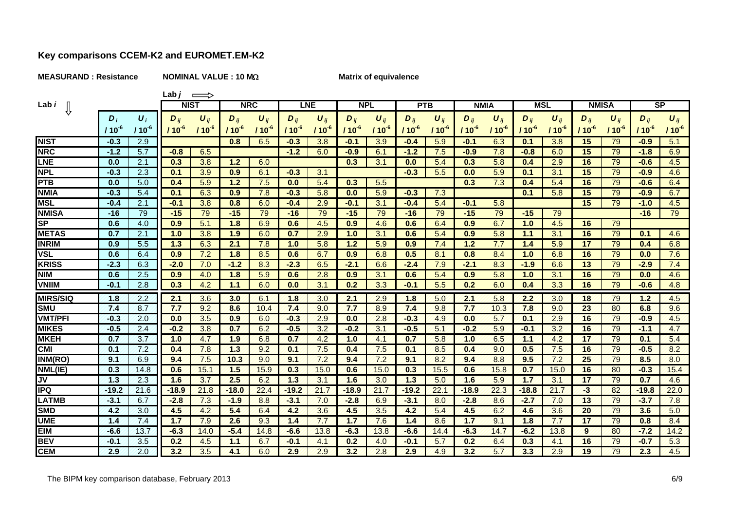### **MEASURAND : Resistance NOMINAL VALUE : 10 M**

Lab $j \implies$ 

### **Matrix of equivalence**

| ν<br>J | 0 |  |  |
|--------|---|--|--|
|        |   |  |  |

| Lab <i>i</i>    |            |                    | <b>NIST</b> |           | <b>NRC</b> |                       | <b>LNE</b> |            | <b>NPL</b> |            |            | <b>PTB</b> |            | <b>NMIA</b>           | MSL        |                       | <b>NMISA</b> |            | SP       |            |
|-----------------|------------|--------------------|-------------|-----------|------------|-----------------------|------------|------------|------------|------------|------------|------------|------------|-----------------------|------------|-----------------------|--------------|------------|----------|------------|
|                 | $D_i$      | $\boldsymbol{U}_i$ | $D_{ii}$    | $U_{ii}$  | $D_{ij}$   | $\boldsymbol{U}_{ii}$ | $D_{ii}$   | $U_{ii}$   | $D_{ii}$   | $U_{ii}$   | $D_{ii}$   | $U_{ij}$   | $D_{ii}$   | $\boldsymbol{U}_{ij}$ | $D_{ii}$   | $\boldsymbol{U}_{ii}$ | $D_{ii}$     | $U_{ij}$   | $D_{ii}$ | $U_{ii}$   |
|                 | $110^{-6}$ | $110^{-6}$         | / 10 $^6$   | $110^{6}$ | $110^{6}$  | $110^{-6}$            | $110^{6}$  | $110^{-6}$ | $110^{6}$  | $110^{-6}$ | $110^{-6}$ | $/10^{-6}$ | $110^{-7}$ | $110-6$               | $110^{-6}$ | 110                   | $110^{6}$    | $110^{-6}$ | / 10     | $110^{-6}$ |
| <b>NIST</b>     | $-0.3$     | 2.9                |             |           | 0.8        | 6.5                   | $-0.3$     | 3.8        | $-0.1$     | 3.9        | $-0.4$     | 5.9        | $-0.1$     | 6.3                   | 0.1        | 3.8                   | 15           | 79         | $-0.9$   | 5.1        |
| <b>NRC</b>      | $-1.2$     | 5.7                | $-0.8$      | 6.5       |            |                       | $-1.2$     | 6.0        | $-0.9$     | 6.1        | $-1.2$     | 7.5        | $-0.9$     | 7.8                   | $-0.8$     | 6.0                   | 15           | 79         | $-1.8$   | 6.9        |
| <b>LNE</b>      | 0.0        | 2.1                | 0.3         | 3.8       | 1.2        | 6.0                   |            |            | 0.3        | 3.1        | 0.0        | 5.4        | 0.3        | 5.8                   | 0.4        | 2.9                   | 16           | 79         | $-0.6$   | 4.5        |
| <b>NPL</b>      | $-0.3$     | 2.3                | 0.1         | 3.9       | 0.9        | 6.1                   | $-0.3$     | 3.1        |            |            | $-0.3$     | 5.5        | 0.0        | 5.9                   | 0.1        | 3.1                   | 15           | 79         | $-0.9$   | 4.6        |
| <b>PTB</b>      | 0.0        | 5.0                | 0.4         | 5.9       | 1.2        | 7.5                   | 0.0        | 5.4        | 0.3        | 5.5        |            |            | 0.3        | 7.3                   | 0.4        | 5.4                   | 16           | 79         | $-0.6$   | 6.4        |
| <b>NMIA</b>     | $-0.3$     | 5.4                | 0.1         | 6.3       | 0.9        | 7.8                   | $-0.3$     | 5.8        | 0.0        | 5.9        | $-0.3$     | 7.3        |            |                       | 0.1        | 5.8                   | 15           | 79         | $-0.9$   | 6.7        |
| <b>MSL</b>      | $-0.4$     | 2.1                | $-0.1$      | 3.8       | 0.8        | 6.0                   | $-0.4$     | 2.9        | $-0.1$     | 3.1        | $-0.4$     | 5.4        | $-0.1$     | 5.8                   |            |                       | 15           | 79         | $-1.0$   | 4.5        |
| <b>NMISA</b>    | $-16$      | 79                 | $-15$       | 79        | $-15$      | 79                    | $-16$      | 79         | $-15$      | 79         | $-16$      | 79         | $-15$      | 79                    | $-15$      | 79                    |              |            | $-16$    | 79         |
| <b>SP</b>       | 0.6        | 4.0                | 0.9         | 5.1       | 1.8        | 6.9                   | 0.6        | 4.5        | 0.9        | 4.6        | 0.6        | 6.4        | 0.9        | 6.7                   | 1.0        | 4.5                   | 16           | 79         |          |            |
| <b>METAS</b>    | 0.7        | 2.1                | 1.0         | 3.8       | 1.9        | 6.0                   | 0.7        | 2.9        | 1.0        | 3.1        | 0.6        | 5.4        | 0.9        | 5.8                   | 1.1        | 3.1                   | 16           | 79         | 0.1      | 4.6        |
| <b>INRIM</b>    | 0.9        | 5.5                | 1.3         | 6.3       | 2.1        | 7.8                   | 1.0        | 5.8        | 1.2        | 5.9        | 0.9        | 7.4        | 1.2        | 7.7                   | 1.4        | 5.9                   | 17           | 79         | 0.4      | 6.8        |
| <b>VSL</b>      | 0.6        | 6.4                | 0.9         | 7.2       | 1.8        | 8.5                   | 0.6        | 6.7        | 0.9        | 6.8        | 0.5        | 8.1        | 0.8        | 8.4                   | 1.0        | 6.8                   | 16           | 79         | 0.0      | 7.6        |
| <b>KRISS</b>    | $-2.3$     | 6.3                | $-2.0$      | 7.0       | $-1.2$     | 8.3                   | $-2.3$     | 6.5        | $-2.1$     | 6.6        | $-2.4$     | 7.9        | $-2.1$     | 8.3                   | $-1.9$     | 6.6                   | 13           | 79         | $-2.9$   | 7.4        |
| <b>NIM</b>      | 0.6        | 2.5                | 0.9         | 4.0       | 1.8        | 5.9                   | 0.6        | 2.8        | 0.9        | 3.1        | 0.6        | 5.4        | 0.9        | 5.8                   | 1.0        | 3.1                   | 16           | 79         | 0.0      | 4.6        |
| <b>VNIIM</b>    | $-0.1$     | 2.8                | 0.3         | 4.2       | 1.1        | 6.0                   | 0.0        | 3.1        | 0.2        | 3.3        | $-0.1$     | 5.5        | 0.2        | 6.0                   | 0.4        | 3.3                   | 16           | 79         | $-0.6$   | 4.8        |
| <b>MIRS/SIQ</b> | 1.8        | 2.2                | 2.1         | 3.6       | 3.0        | 6.1                   | 1.8        | 3.0        | 2.1        | 2.9        | 1.8        | 5.0        | 2.1        | 5.8                   | 2.2        | 3.0                   | 18           | 79         | 1.2      | 4.5        |
| <b>SMU</b>      | 7.4        | 8.7                | 7.7         | 9.2       | 8.6        | 10.4                  | 7.4        | 9.0        | 7.7        | 8.9        | 7.4        | 9.8        | 7.7        | 10.3                  | 7.8        | 9.0                   | 23           | 80         | 6.8      | 9.6        |
| <b>VMT/PFI</b>  | $-0.3$     | 2.0                | 0.0         | 3.5       | 0.9        | 6.0                   | $-0.3$     | 2.9        | 0.0        | 2.8        | $-0.3$     | 4.9        | 0.0        | 5.7                   | 0.1        | 2.9                   | 16           | 79         | $-0.9$   | 4.5        |
| <b>MIKES</b>    | $-0.5$     | 2.4                | $-0.2$      | 3.8       | 0.7        | 6.2                   | $-0.5$     | 3.2        | $-0.2$     | 3.1        | $-0.5$     | 5.1        | $-0.2$     | 5.9                   | $-0.1$     | 3.2                   | 16           | 79         | -14      | 4.7        |
| <b>MKEH</b>     | 0.7        | 3.7                | 1.0         | 4.7       | 1.9        | 6.8                   | 0.7        | 4.2        | 1.0        | 4.1        | 0.7        | 5.8        | 1.0        | 6.5                   | 11         | 4.2                   | 17           | 79         | 0.1      | 5.4        |
| <b>CMI</b>      | 0.1        | 7.2                | 0.4         | 7.8       | 1.3        | 9.2                   | 0.1        | 7.5        | 0.4        | 7.5        | 0.1        | 8.5        | 0.4        | 9.0                   | 0.5        | 7.5                   | 16           | 79         | $-0.5$   | 8.2        |
| INM(RO)         | 9.1        | 6.9                | 9.4         | 7.5       | 10.3       | 9.0                   | 9.1        | 7.2        | 9.4        | 7.2        | 9.1        | 8.2        | 9.4        | 8.8                   | 9.5        | 7.2                   | 25           | 79         | 8.5      | 8.0        |
| NML(IE)         | 0.3        | 14.8               | 0.6         | 15.1      | 1.5        | 15.9                  | 0.3        | 15.0       | 0.6        | 15.0       | 0.3        | 15.5       | 0.6        | 15.8                  | 0.7        | 15.0                  | 16           | 80         | $-0.3$   | 15.4       |
| JV              | 1.3        | 2.3                | 1.6         | 3.7       | 2.5        | 6.2                   | 1.3        | 3.1        | 1.6        | 3.0        | 1.3        | 5.0        | 1.6        | 5.9                   | 1.7        | 3.1                   | 17           | 79         | 0.7      | 4.6        |
| <b>IPQ</b>      | $-19.2$    | 21.6               | $-18.9$     | 21.8      | $-18.0$    | 22.4                  | $-19.2$    | 21.7       | $-18.9$    | 21.7       | $-19.2$    | 22.1       | $-18.9$    | 22.3                  | $-18.8$    | 21.7                  | $-3$         | 82         | $-19.8$  | 22.0       |
| <b>LATMB</b>    | $-3.1$     | 6.7                | $-2.8$      | 7.3       | $-1.9$     | 8.8                   | $-3.1$     | 7.0        | $-2.8$     | 6.9        | $-3.1$     | 8.0        | $-2.8$     | 8.6                   | $-2.7$     | 7.0                   | 13           | 79         | $-3.7$   | 7.8        |
| <b>SMD</b>      | 4.2        | 3.0                | 4.5         | 4.2       | 5.4        | 6.4                   | 4.2        | 3.6        | 4.5        | 3.5        | 4.2        | 5.4        | 4.5        | 6.2                   | 4.6        | 3.6                   | 20           | 79         | 3.6      | 5.0        |
| <b>UME</b>      | 1.4        | 7.4                | 17          | 7.9       | 2.6        | 9.3                   | 1.4        | 7.7        | 1.7        | 7.6        | 1.4        | 8.6        | 1.7        | 9.1                   | 1.8        | 7.7                   | 17           | 79         | 0.8      | 8.4        |
| <b>EIM</b>      | $-6.6$     | 13.7               | $-6.3$      | 14.0      | $-5.4$     | 14.8                  | $-6.6$     | 13.8       | $-6.3$     | 13.8       | $-6.6$     | 14.4       | $-6.3$     | 14.7                  | $-6.2$     | 13.8                  | 9            | 80         | $-7.2$   | 14.2       |
| <b>BEV</b>      | $-0.1$     | 3.5                | 0.2         | 4.5       | 14         | 6.7                   | $-0.1$     | 4.1        | 0.2        | 4.0        | $-0.1$     | 5.7        | 0.2        | 6.4                   | 0.3        | 4.1                   | 16           | 79         | $-0.7$   | 5.3        |
| <b>CEM</b>      | 2.9        | 2.0                | 3.2         | 3.5       | 4.1        | 6.0                   | 2.9        | 2.9        | 3.2        | 2.8        | 2.9        | 4.9        | 3.2        | 5.7                   | 3.3        | 2.9                   | 19           | 79         | 2.3      | 4.5        |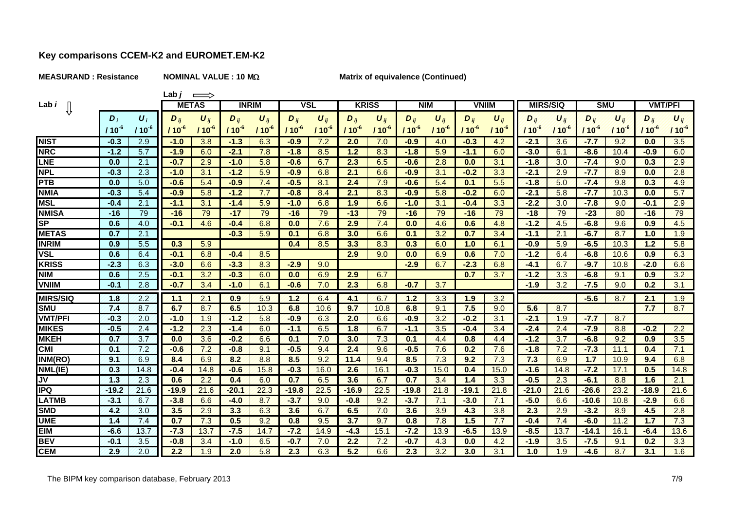#### **MEASURAND : Resistance NOMINAL VALUE : 10 M**

Lab $j \implies$ 

### **Matrix of equivalence (Continued)**

| an |
|----|
|----|

| Lab <i>i</i>                   |                  |                    | <b>METAS</b> |            | <b>INRIM</b> |                       | <b>VSL</b>          |          |            | <b>KRISS</b> | <b>NIM</b> |                       |            | <b>VNIIM</b> | <b>MIRS/SIQ</b> |                       | <b>SMU</b> |           |           | <b>VMT/PFI</b> |
|--------------------------------|------------------|--------------------|--------------|------------|--------------|-----------------------|---------------------|----------|------------|--------------|------------|-----------------------|------------|--------------|-----------------|-----------------------|------------|-----------|-----------|----------------|
|                                | $\boldsymbol{D}$ | $\boldsymbol{U}_i$ | $D_{ij}$     | $U_{ii}$   | $D_{ii}$     | $\boldsymbol{U}_{ij}$ | $D_{ii}$            | $U_{ii}$ | $D_{ii}$   | $U_{ij}$     | $D_{ii}$   | $\boldsymbol{U}_{ij}$ | $D_{ii}$   | $U_{ii}$     | $D_{ii}$        | $\boldsymbol{U}_{ii}$ | $D_{ii}$   | $U_{ij}$  | $D_{ii}$  | $U_{ij}$       |
|                                | $110^{-6}$       | $110^{-6}$         | $110^{-6}$   | $110^{-6}$ | $110^{6}$    | $110^{-6}$            | / 10 $^{\text{-}6}$ | 110      | $110^{-6}$ | $110^{-6}$   | $110^{6}$  | $110^{6}$             | $110^{-6}$ | $110^{6}$    | $110^{6}$       | $110^{-6}$            | $110^{6}$  | $110^{6}$ | $110^{6}$ | $110^{-6}$     |
| <b>NIST</b>                    | $-0.3$           | 2.9                | $-1.0$       | 3.8        | $-1.3$       | 6.3                   | $-0.9$              | 7.2      | 2.0        | 7.0          | $-0.9$     | 4.0                   | $-0.3$     | 4.2          | $-2.1$          | 3.6                   | $-7.7$     | 9.2       | 0.0       | 3.5            |
| <b>NRC</b>                     | $-1.2$           | 5.7                | $-1.9$       | 6.0        | $-2.1$       | 7.8                   | $-1.8$              | 8.5      | 1.2        | 8.3          | $-1.8$     | 5.9                   | $-1.1$     | 6.0          | $-3.0$          | 6.1                   | $-8.6$     | 10.4      | $-0.9$    | 6.0            |
| <b>LNE</b>                     | 0.0              | 2.1                | $-0.7$       | 2.9        | $-1.0$       | 5.8                   | $-0.6$              | 6.7      | 2.3        | 6.5          | $-0.6$     | 2.8                   | 0.0        | 3.1          | $-1.8$          | 3.0                   | $-7.4$     | 9.0       | 0.3       | 2.9            |
| <b>NPL</b>                     | $-0.3$           | 2.3                | $-1.0$       | 3.1        | $-1.2$       | 5.9                   | $-0.9$              | 6.8      | 2.1        | 6.6          | $-0.9$     | 3.1                   | $-0.2$     | 3.3          | $-2.1$          | 2.9                   | $-7.7$     | 8.9       | 0.0       | 2.8            |
| <b>PTB</b>                     | 0.0              | 5.0                | $-0.6$       | 5.4        | $-0.9$       | 7.4                   | $-0.5$              | 8.1      | 2.4        | 7.9          | $-0.6$     | 5.4                   | 0.1        | 5.5          | $-1.8$          | 5.0                   | $-7.4$     | 9.8       | 0.3       | 4.9            |
| <b>NMIA</b>                    | $-0.3$           | 5.4                | $-0.9$       | 5.8        | $-1.2$       | 7.7                   | $-0.8$              | 8.4      | 2.1        | 8.3          | $-0.9$     | 5.8                   | $-0.2$     | 6.0          | $-2.1$          | 5.8                   | $-7.7$     | 10.3      | 0.0       | 5.7            |
| <b>MSL</b>                     | $-0.4$           | 2.1                | $-1.1$       | 3.1        | $-1.4$       | 5.9                   | $-1.0$              | 6.8      | 1.9        | 6.6          | $-1.0$     | 3.1                   | $-0.4$     | 3.3          | $-2.2$          | 3.0                   | $-7.8$     | 9.0       | $-0.1$    | 2.9            |
| <b>NMISA</b>                   | $-16$            | 79                 | $-16$        | 79         | $-17$        | 79                    | $-16$               | 79       | $-13$      | 79           | $-16$      | 79                    | $-16$      | 79           | $-18$           | 79                    | $-23$      | 80        | $-16$     | 79             |
| S <sub>P</sub>                 | 0.6              | 4.0                | $-0.1$       | 4.6        | $-0.4$       | 6.8                   | 0.0                 | 7.6      | 2.9        | 7.4          | 0.0        | 4.6                   | 0.6        | 4.8          | $-1.2$          | 4.5                   | $-6.8$     | 9.6       | 0.9       | 4.5            |
| <b>METAS</b>                   | 0.7              | 2.1                |              |            | $-0.3$       | 5.9                   | 0.1                 | 6.8      | 3.0        | 6.6          | 0.1        | 3.2                   | 0.7        | 3.4          | $-1.1$          | 2 <sub>1</sub>        | $-6.7$     | 8.7       | 1.0       | 1.9            |
| <b>INRIM</b>                   | 0.9              | 5.5                | 0.3          | 5.9        |              |                       | 0.4                 | 8.5      | 3.3        | 8.3          | 0.3        | 6.0                   | 1.0        | 6.1          | $-0.9$          | 5.9                   | $-6.5$     | 10.3      | 1.2       | 5.8            |
| <b>VSL</b>                     | 0.6              | 6.4                | $-0.1$       | 6.8        | $-0.4$       | 8.5                   |                     |          | 2.9        | 9.0          | 0.0        | 6.9                   | 0.6        | 7.0          | $-1.2$          | 6.4                   | $-6.8$     | 10.6      | 0.9       | 6.3            |
| <b>KRISS</b>                   | $-2.3$           | 6.3                | $-3.0$       | 6.6        | $-3.3$       | 8.3                   | $-2.9$              | 9.0      |            |              | $-2.9$     | 6.7                   | $-2.3$     | 6.8          | $-4.1$          | 6.7                   | $-9.7$     | 10.8      | $-2.0$    | 6.6            |
| <b>NIM</b>                     | 0.6              | 2.5                | $-0.1$       | 3.2        | $-0.3$       | 6.0                   | 0.0                 | 6.9      | 2.9        | 6.7          |            |                       | 0.7        | 3.7          | $-1.2$          | 3.3                   | $-6.8$     | 9.1       | 0.9       | 3.2            |
| <b>VNIIM</b>                   | $-0.1$           | 2.8                | $-0.7$       | 3.4        | $-1.0$       | 6.1                   | $-0.6$              | 7.0      | 2.3        | 6.8          | $-0.7$     | 3.7                   |            |              | $-1.9$          | 3.2                   | $-7.5$     | 9.0       | 0.2       | 3.1            |
| <b>MIRS/SIQ</b>                | 1.8              | 2.2                | 44           | 2.1        | 0.9          | 5.9                   | 1.2                 | 6.4      | 4.1        | 6.7          | 1.2        | 3.3                   | 1.9        | 3.2          |                 |                       | $-5.6$     | 8.7       | 2.1       | 1.9            |
| <b>SMU</b>                     | 7.4              | 8.7                | 6.7          | 8.7        | 6.5          | 10.3                  | 6.8                 | 10.6     | 9.7        | 10.8         | 6.8        | 9.1                   | 7.5        | 9.0          | 5.6             | 8.7                   |            |           | 7.7       | 8.7            |
| <b>VMT/PFI</b>                 | $-0.3$           | 2.0                | $-1.0$       | 1.9        | $-1.2$       | 5.8                   | $-0.9$              | 6.3      | 2.0        | 6.6          | $-0.9$     | 3.2                   | $-0.2$     | 3.1          | $-2.1$          | 1.9                   | $-7.7$     | 8.7       |           |                |
| <b>MIKES</b>                   | $-0.5$           | 2.4                | $-1.2$       | 2.3        | $-1.4$       | 6.0                   | -14                 | 6.5      | 1.8        | 6.7          | -1.1       | 3.5                   | $-0.4$     | 3.4          | $-2.4$          | 2.4                   | $-7.9$     | 8.8       | $-0.2$    | 2.2            |
| <b>MKEH</b>                    | 0.7              | 3.7                | 0.0          | 3.6        | $-0.2$       | 6.6                   | 0.1                 | 7.0      | 3.0        | 7.3          | 0.1        | 4.4                   | 0.8        | 4.4          | $-1.2$          | 3.7                   | $-6.8$     | 9.2       | 0.9       | 3.5            |
| <b>CMI</b>                     | 0.1              | 7.2                | $-0.6$       | 7.2        | $-0.8$       | 9.1                   | $-0.5$              | 9.4      | 2.4        | 9.6          | $-0.5$     | 7.6                   | 0.2        | 7.6          | $-1.8$          | 7.2                   | $-7.3$     | 11.1      | 0.4       | 7.1            |
| INM(RO)                        | 9.1              | 6.9                | 8.4          | 6.9        | 8.2          | 8.8                   | 8.5                 | 9.2      | 11.4       | 9.4          | 8.5        | 7.3                   | 9.2        | 7.3          | 7.3             | 6.9                   | 1.7        | 10.9      | 9.4       | 6.8            |
| $\overline{\mathsf{NML}}$ (IE) | 0.3              | 14.8               | $-0.4$       | 14.8       | $-0.6$       | 15.8                  | $-0.3$              | 16.0     | 2.6        | 16.1         | $-0.3$     | 15.0                  | 0.4        | 15.0         | $-1.6$          | 14.8                  | $-7.2$     | 17.1      | 0.5       | 14.8           |
| JV                             | 1.3              | 2.3                | 0.6          | 2.2        | 0.4          | 6.0                   | 0.7                 | 6.5      | 3.6        | 6.7          | 0.7        | 3.4                   | 1.4        | 3.3          | $-0.5$          | 2.3                   | $-6.1$     | 8.8       | 1.6       | 2.1            |
| <b>IPQ</b>                     | $-19.2$          | 21.6               | $-19.9$      | 21.6       | $-20.1$      | 22.3                  | $-19.8$             | 22.5     | $-16.9$    | 22.5         | $-19.8$    | 21.8                  | $-19.1$    | 21.8         | $-21.0$         | 21.6                  | $-26.6$    | 23.2      | $-18.9$   | 21.6           |
| <b>LATMB</b>                   | $-3.1$           | 6.7                | $-3.8$       | 6.6        | $-4.0$       | 8.7                   | $-3.7$              | 9.0      | $-0.8$     | 9.2          | $-3.7$     | 7.1                   | $-3.0$     | 7.1          | $-5.0$          | 6.6                   | $-10.6$    | 10.8      | $-2.9$    | 6.6            |
| <b>SMD</b>                     | 4.2              | 3.0                | 3.5          | 2.9        | 3.3          | 6.3                   | 3.6                 | 6.7      | 6.5        | 7.0          | 3.6        | 3.9                   | 4.3        | 3.8          | 2.3             | 2.9                   | $-3.2$     | 8.9       | 4.5       | 2.8            |
| <b>UME</b>                     | 1.4              | 7.4                | 0.7          | 7.3        | 0.5          | 9.2                   | 0.8                 | 9.5      | 3.7        | 9.7          | 0.8        | 7.8                   | 1.5        | 7.7          | $-0.4$          | 7.4                   | $-6.0$     | 11.2      | 17        | 7.3            |
| <b>EIM</b>                     | $-6.6$           | 13.7               | $-7.3$       | 13.7       | $-7.5$       | 14.7                  | $-7.2$              | 14.9     | $-4.3$     | 15.1         | $-7.2$     | 13.9                  | $-6.5$     | 13.9         | $-8.5$          | 13.7                  | $-14.1$    | 16.1      | $-6.4$    | 13.6           |
| <b>BEV</b>                     | $-0.1$           | 3.5                | $-0.8$       | 3.4        | $-1.0$       | 6.5                   | $-0.7$              | 7.0      | 2.2        | 7.2          | $-0.7$     | 4.3                   | 0.0        | 4.2          | $-1.9$          | 3.5                   | $-7.5$     | 9.1       | 0.2       | 3.3            |
| <b>CEM</b>                     | 2.9              | 2.0                | 2.2          | 1.9        | 2.0          | 5.8                   | 2.3                 | 6.3      | 5.2        | 6.6          | 2.3        | 3.2                   | 3.0        | 3.1          | 1.0             | 1.9                   | $-4.6$     | 8.7       | 3.1       | 1.6            |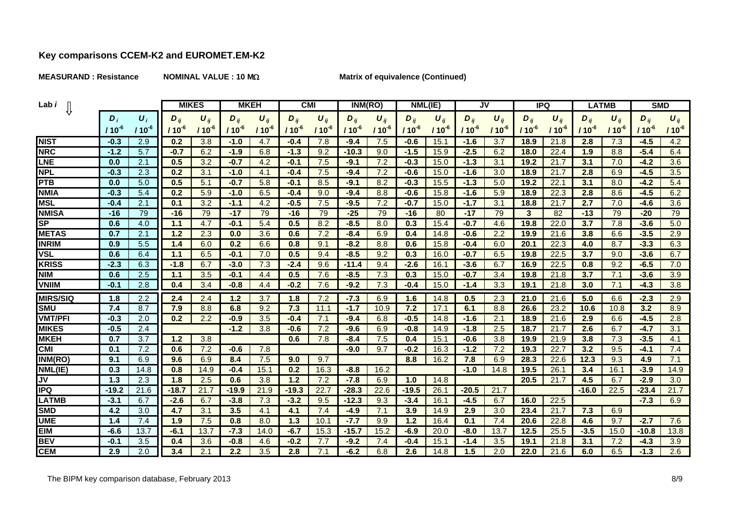**MEASURAND : Resistance NOMINAL VALUE : 10 M**

**Matrix of equivalence (Continued)**

| Lab <i>i</i>             |            |                    | <b>MIKES</b> | <b>MKEH</b>           |           | <b>CMI</b>            |           | INM(RO)               |            | NML(IE)               |          | JV                    |           | <b>IPQ</b>            |            | <b>LATMB</b>          |            | <b>SMD</b>            |           |            |
|--------------------------|------------|--------------------|--------------|-----------------------|-----------|-----------------------|-----------|-----------------------|------------|-----------------------|----------|-----------------------|-----------|-----------------------|------------|-----------------------|------------|-----------------------|-----------|------------|
|                          | $D_i$      | $\boldsymbol{U}_i$ | $D_{\rm II}$ | $\boldsymbol{U}_{ij}$ | $D_{ij}$  | $\boldsymbol{U}_{ii}$ | $D_{ij}$  | $\boldsymbol{U}_{ij}$ | $D_{\eta}$ | $\boldsymbol{U}_{ij}$ | $D_{ij}$ | $\boldsymbol{U}_{ii}$ | $D_{ii}$  | $\boldsymbol{U}_{ij}$ | $D_{ij}$   | $\boldsymbol{U}_{ii}$ | $D_{ii}$   | $\boldsymbol{U}_{ij}$ | $D_{ii}$  | $U_{ij}$   |
|                          | $110^{-6}$ | $110^{-6}$         | $110^{-6}$   | $110^{6}$             | $110^{6}$ | $110^{-6}$            | $110^{6}$ | $110^{-6}$            | $110^{-6}$ | $110^{-6}$            | $110^6$  | $110^{-6}$            | $110^{6}$ | $110^{-6}$            | $110^{-6}$ | $110^{-6}$            | $110^{-6}$ | $110^{-6}$            | $110^{6}$ | $110^{-6}$ |
| <b>NIST</b>              | $-0.3$     | 2.9                | 0.2          | 3.8                   | $-1.0$    | 4.7                   | $-0.4$    | 7.8                   | $-9.4$     | 7.5                   | $-0.6$   | 15.1                  | $-1.6$    | 3.7                   | 18.9       | 21.8                  | 2.8        | 7.3                   | $-4.5$    | 4.2        |
| <b>NRC</b>               | $-1.2$     | 5.7                | $-0.7$       | 6.2                   | $-1.9$    | 6.8                   | $-1.3$    | 9.2                   | $-10.3$    | 9.0                   | $-1.5$   | 15.9                  | $-2.5$    | 6.2                   | 18.0       | 22.4                  | 1.9        | 8.8                   | $-5.4$    | 6.4        |
| <b>LNE</b>               | 0.0        | 2.1                | 0.5          | 3.2                   | $-0.7$    | 4.2                   | $-0.1$    | 7.5                   | $-9.1$     | 7.2                   | $-0.3$   | 15.0                  | $-1.3$    | 3.1                   | 19.2       | 21.7                  | 3.1        | 7.0                   | $-4.2$    | 3.6        |
| <b>NPL</b>               | $-0.3$     | 2.3                | 0.2          | 3.1                   | $-1.0$    | 4.1                   | $-0.4$    | 7.5                   | $-9.4$     | 7.2                   | $-0.6$   | 15.0                  | $-1.6$    | 3.0                   | 18.9       | 21.7                  | 2.8        | 6.9                   | $-4.5$    | 3.5        |
| <b>PTB</b>               | 0.0        | 5.0                | 0.5          | 5.1                   | $-0.7$    | 5.8                   | $-0.1$    | 8.5                   | $-9.1$     | 8.2                   | $-0.3$   | 15.5                  | $-1.3$    | 5.0                   | 19.2       | 22.1                  | 3.1        | 8.0                   | $-4.2$    | 5.4        |
| <b>NMIA</b>              | $-0.3$     | 5.4                | 0.2          | 5.9                   | $-1.0$    | 6.5                   | $-0.4$    | 9.0                   | $-9.4$     | 8.8                   | $-0.6$   | 15.8                  | $-1.6$    | 5.9                   | 18.9       | 22.3                  | 2.8        | 8.6                   | $-4.5$    | 6.2        |
| <b>MSL</b>               | $-0.4$     | 2.1                | 0.1          | 3.2                   | -14       | 4.2                   | $-0.5$    | 7.5                   | $-9.5$     | 7.2                   | $-0.7$   | 15.0                  | $-1.7$    | 3.1                   | 18.8       | 21.7                  | 2.7        | 7.0                   | $-4.6$    | 3.6        |
| <b>NMISA</b>             | $-16$      | 79                 | $-16$        | 79                    | $-17$     | 79                    | $-16$     | 79                    | $-25$      | 79                    | $-16$    | 80                    | $-17$     | 79                    | 3          | 82                    | $-13$      | 79                    | $-20$     | 79         |
| $\overline{\mathsf{SP}}$ | 0.6        | 4.0                | -14          | 4.7                   | $-0.1$    | 5.4                   | 0.5       | 8.2                   | $-8.5$     | 8.0                   | 0.3      | 15.4                  | $-0.7$    | 4.6                   | 19.8       | 22.0                  | 3.7        | 7.8                   | $-3.6$    | 5.0        |
| <b>METAS</b>             | 0.7        | 2.1                | 1.2          | 2.3                   | 0.0       | 3.6                   | 0.6       | 7.2                   | $-8.4$     | 6.9                   | 0.4      | 14.8                  | -0.6      | 2.2                   | 19.9       | 21.6                  | 3.8        | 6.6                   | $-3.5$    | 2.9        |
| <b>INRIM</b>             | 0.9        | 5.5                | 1.4          | 6.0                   | 0.2       | 6.6                   | 0.8       | 9.1                   | $-8.2$     | 8.8                   | 0.6      | 15.8                  | $-0.4$    | 6.0                   | 20.1       | 22.3                  | 4.0        | 8.7                   | $-3.3$    | 6.3        |
| <b>VSL</b>               | 0.6        | 6.4                | 11           | 6.5                   | $-0.1$    | 7.0                   | 0.5       | 9.4                   | $-8.5$     | 9.2                   | 0.3      | 16.0                  | $-0.7$    | 6.5                   | 19.8       | 22.5                  | 3.7        | 9.0                   | $-3.6$    | 6.7        |
| <b>KRISS</b>             | $-2.3$     | 6.3                | $-1.8$       | 6.7                   | $-3.0$    | 7.3                   | $-2.4$    | 9.6                   | $-11.4$    | 9.4                   | $-2.6$   | 16.1                  | $-3.6$    | 6.7                   | 16.9       | 22.5                  | 0.8        | 9.2                   | $-6.5$    | 7.0        |
| <b>NIM</b>               | 0.6        | 2.5                | 44           | 3.5                   | $-0.1$    | 4.4                   | 0.5       | 7.6                   | $-8.5$     | 7.3                   | 0.3      | 15.0                  | $-0.7$    | 3.4                   | 19.8       | 21.8                  | 3.7        | 7.1                   | $-3.6$    | 3.9        |
| <b>VNIIM</b>             | $-0.1$     | 2.8                | 0.4          | 3.4                   | $-0.8$    | 4.4                   | $-0.2$    | 7.6                   | $-9.2$     | 7.3                   | $-0.4$   | 15.0                  | $-1.4$    | 3.3                   | 19.1       | 21.8                  | 3.0        | 7.1                   | $-4.3$    | 3.8        |
| <b>MIRS/SIQ</b>          | 1.8        | 2.2                | 2.4          | 2.4                   | 1.2       | 3.7                   | 1.8       | 7.2                   | $-7.3$     | 6.9                   | 1.6      | 14.8                  | 0.5       | 2.3                   | 21.0       | 21.6                  | 5.0        | 6.6                   | $-2.3$    | 2.9        |
| <b>SMU</b>               | 7.4        | 8.7                | 7.9          | 8.8                   | 6.8       | 9.2                   | 7.3       | 11.1                  | $-1.7$     | 10.9                  | 7.2      | 17.1                  | 6.1       | 8.8                   | 26.6       | 23.2                  | 10.6       | 10.8                  | 3.2       | 8.9        |
| <b>VMT/PFI</b>           | $-0.3$     | 2.0                | 0.2          | 2.2                   | $-0.9$    | 3.5                   | $-0.4$    | 7.1                   | $-9.4$     | 6.8                   | $-0.5$   | 14.8                  | $-1.6$    | 2.1                   | 18.9       | 21.6                  | 2.9        | 6.6                   | $-4.5$    | 2.8        |
| <b>MIKES</b>             | $-0.5$     | 2.4                |              |                       | $-1.2$    | 3.8                   | $-0.6$    | 7.2                   | $-9.6$     | 6.9                   | $-0.8$   | 14.9                  | $-1.8$    | 2.5                   | 18.7       | 21.7                  | 2.6        | 6.7                   | $-4.7$    | 3.1        |
| <b>MKEH</b>              | 0.7        | 3.7                | 1.2          | 3.8                   |           |                       | 0.6       | 7.8                   | $-8.4$     | 7.5                   | 0.4      | 15.1                  | $-0.6$    | 3.8                   | 19.9       | 21.9                  | 3.8        | 7.3                   | $-3.5$    | 4.1        |
| $\overline{\text{CMI}}$  | 0.1        | 7.2                | 0.6          | 7.2                   | $-0.6$    | 7.8                   |           |                       | $-9.0$     | 9.7                   | $-0.2$   | 16.3                  | $-1.2$    | 7.2                   | 19.3       | 22.7                  | 3.2        | 9.5                   | $-4.1$    | 7.4        |
| INM(RO)                  | 9.1        | 6.9                | 9.6          | 6.9                   | 8.4       | 7.5                   | 9.0       | 9.7                   |            |                       | 8.8      | 16.2                  | 7.8       | 6.9                   | 28.3       | 22.6                  | 12.3       | 9.3                   | 4.9       | 7.1        |
| NML(IE)                  | 0.3        | 14.8               | 0.8          | 14.9                  | $-0.4$    | 15.1                  | 0.2       | 16.3                  | $-8.8$     | 16.2                  |          |                       | $-1.0$    | 14.8                  | 19.5       | 26.1                  | 3.4        | 16.1                  | $-3.9$    | 14.9       |
| $\overline{\mathsf{U}}$  | 1.3        | 2.3                | 1.8          | 2.5                   | 0.6       | 3.8                   | 1.2       | 7.2                   | $-7.8$     | 6.9                   | 1.0      | 14.8                  |           |                       | 20.5       | 21.7                  | 4.5        | 6.7                   | $-2.9$    | 3.0        |
| <b>IPQ</b>               | $-19.2$    | 21.6               | $-18.7$      | 21.7                  | $-19.9$   | 21.9                  | $-19.3$   | 22.7                  | $-28.3$    | 22.6                  | $-19.5$  | 26.1                  | $-20.5$   | 21.7                  |            |                       | $-16.0$    | 22.5                  | $-23.4$   | 21.7       |
| <b>LATMB</b>             | $-3.1$     | 6.7                | $-2.6$       | 6.7                   | $-3.8$    | 7.3                   | $-3.2$    | 9.5                   | $-12.3$    | 9.3                   | $-3.4$   | 16.1                  | $-4.5$    | 6.7                   | 16.0       | 22.5                  |            |                       | $-7.3$    | 6.9        |
| <b>SMD</b>               | 4.2        | 3.0                | 4.7          | 3.1                   | 3.5       | 4.1                   | 4.1       | 7.4                   | $-4.9$     | 7.1                   | 3.9      | 14.9                  | 2.9       | 3.0                   | 23.4       | 21.7                  | 7.3        | 6.9                   |           |            |
| <b>UME</b>               | 1.4        | 7.4                | 1.9          | 7.5                   | 0.8       | 8.0                   | 1.3       | 10.1                  | -7.7       | 9.9                   | 1.2      | 16.4                  | 0.1       | 7.4                   | 20.6       | 22.8                  | 4.6        | 9.7                   | $-2.7$    | 7.6        |
| <b>EIM</b>               | $-6.6$     | 13.7               | $-6.1$       | 13.7                  | $-7.3$    | 14.0                  | $-6.7$    | 15.3                  | $-15.7$    | 15.2                  | $-6.9$   | 20.0                  | $-8.0$    | 13.7                  | 12.5       | 25.5                  | $-3.5$     | 15.0                  | $-10.8$   | 13.8       |
| <b>BEV</b>               | $-0.1$     | 3.5                | 0.4          | 3.6                   | $-0.8$    | 4.6                   | $-0.2$    | 7.7                   | $-9.2$     | 7.4                   | $-0.4$   | 15.1                  | $-1.4$    | 3.5                   | 19.1       | 21.8                  | 3.1        | 7.2                   | $-4.3$    | 3.9        |
| <b>CEM</b>               | 2.9        | 2.0                | 3.4          | 2.1                   | 2.2       | 3.5                   | 2.8       | 7.1                   | $-6.2$     | 6.8                   | 2.6      | 14.8                  | 1.5       | 2.0                   | 22.0       | 21.6                  | 6.0        | 6.5                   | $-1.3$    | 2.6        |